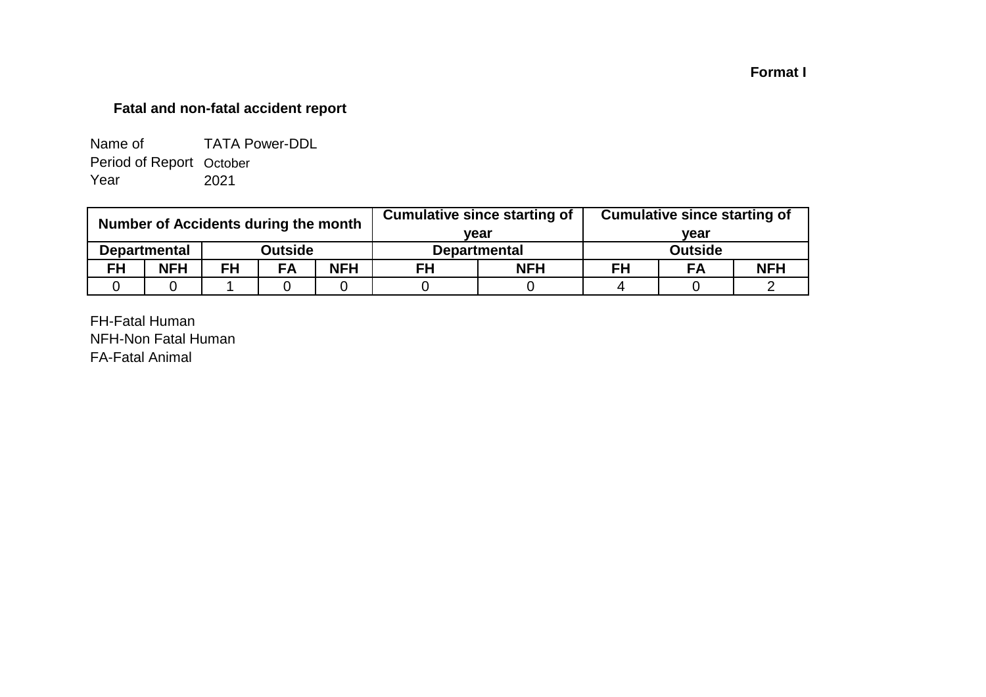## **Format I**

# **Fatal and non-fatal accident report**

| Name of                  | <b>TATA Power-DDL</b> |
|--------------------------|-----------------------|
| Period of Report October |                       |
| Year                     | 2021                  |

| Number of Accidents during the month |                     |           |                | <b>Cumulative since starting of</b> | <b>Cumulative since starting of</b> |      |                |    |            |
|--------------------------------------|---------------------|-----------|----------------|-------------------------------------|-------------------------------------|------|----------------|----|------------|
|                                      |                     |           |                |                                     | vear                                | vear |                |    |            |
|                                      | <b>Departmental</b> |           | <b>Outside</b> |                                     | <b>Departmental</b>                 |      | <b>Outside</b> |    |            |
| <b>FH</b>                            | <b>NFH</b>          | <b>FH</b> | FA             | <b>NFH</b>                          | <b>NFH</b><br>FH                    |      | FH             | FA | <b>NFH</b> |
|                                      |                     |           |                |                                     |                                     |      |                |    |            |

FH-Fatal Human NFH-Non Fatal Human FA-Fatal Animal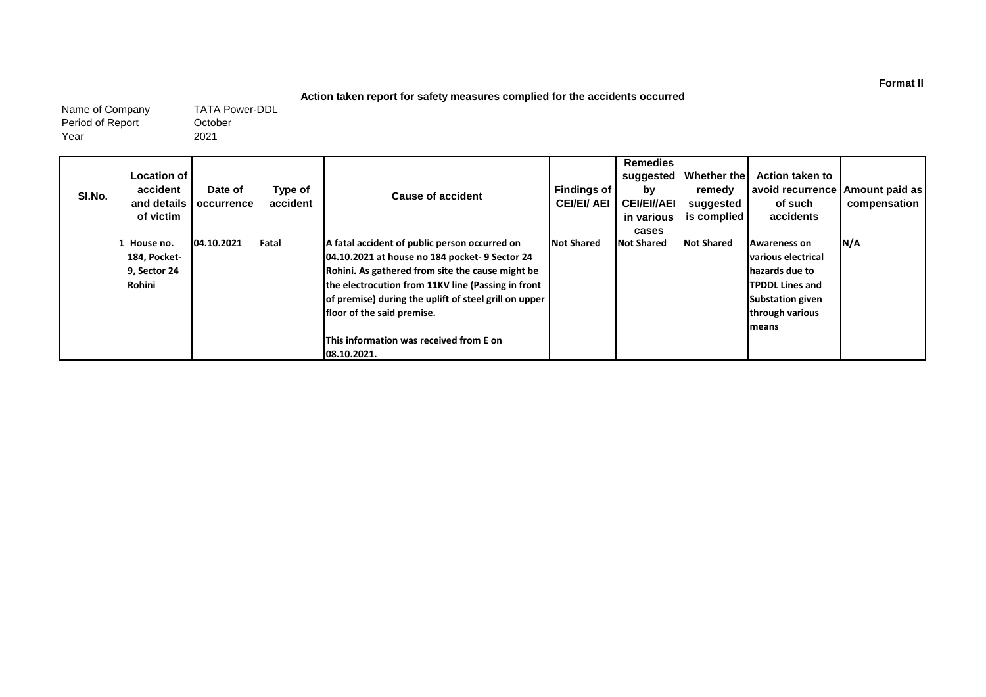#### **Action taken report for safety measures complied for the accidents occurred**

Name of Company Period of Report Year

October 2021 TATA Power-DDL

| SI.No. | Location of<br>accident<br>and details I<br>of victim  | Date of<br>occurrence | Type of<br>accident | Cause of accident                                                                                                                                                                                                                                                                                                                                          | <b>Findings of</b><br><b>CEI/EI/ AEI</b> | <b>Remedies</b><br>suggested<br>by<br><b>CEI/EI//AEI</b><br>in various<br>cases | Whether the<br>remedy<br>suggested<br>is complied | <b>Action taken to</b><br>avoid recurrence   Amount paid as  <br>of such<br>accidents                                                                       | compensation |
|--------|--------------------------------------------------------|-----------------------|---------------------|------------------------------------------------------------------------------------------------------------------------------------------------------------------------------------------------------------------------------------------------------------------------------------------------------------------------------------------------------------|------------------------------------------|---------------------------------------------------------------------------------|---------------------------------------------------|-------------------------------------------------------------------------------------------------------------------------------------------------------------|--------------|
|        | .l House no.<br>184, Pocket-<br>9, Sector 24<br>Rohini | 04.10.2021            | Fatal               | A fatal accident of public person occurred on<br>04.10.2021 at house no 184 pocket-9 Sector 24<br>Rohini. As gathered from site the cause might be<br>the electrocution from 11KV line (Passing in front<br>of premise) during the uplift of steel grill on upper<br>floor of the said premise.<br>This information was received from E on<br>108.10.2021. | <b>Not Shared</b>                        | <b>Not Shared</b>                                                               | <b>Not Shared</b>                                 | <b>Awareness on</b><br><b>various electrical</b><br>hazards due to<br><b>TPDDL Lines and</b><br><b>Substation given</b><br>through various<br><b>Imeans</b> | N/A          |

**Format II**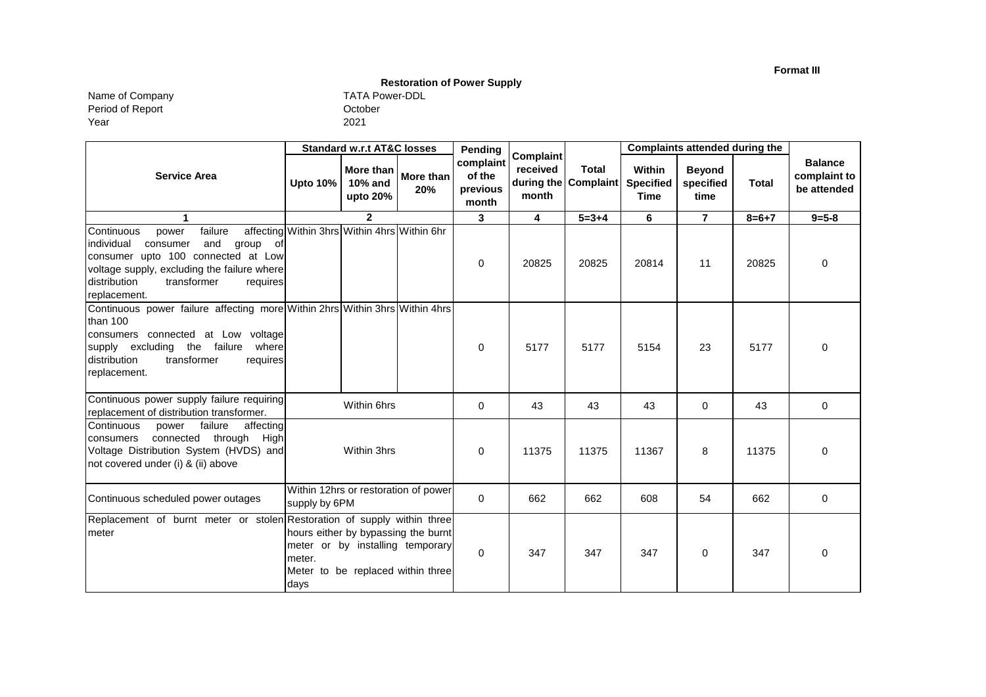**Format III**

# **Restoration of Power Supply**

Name of Company TATA Power-DDL Period of Report Year

| <b>TATA Powe</b> |
|------------------|
| October          |
| 2021             |

|                                                                                                                                                                                                                                | <b>Standard w.r.t AT&amp;C losses</b> |                                              | Pending                                                                                                      | Complaint                                |                         | Complaints attended during the       |                                           |                                    |              |                                               |
|--------------------------------------------------------------------------------------------------------------------------------------------------------------------------------------------------------------------------------|---------------------------------------|----------------------------------------------|--------------------------------------------------------------------------------------------------------------|------------------------------------------|-------------------------|--------------------------------------|-------------------------------------------|------------------------------------|--------------|-----------------------------------------------|
| <b>Service Area</b>                                                                                                                                                                                                            | <b>Upto 10%</b>                       | More than<br>10% and<br>upto 20%             | More than<br>20%                                                                                             | complaint<br>of the<br>previous<br>month | received<br>month       | <b>Total</b><br>during the Complaint | Within<br><b>Specified</b><br><b>Time</b> | <b>Beyond</b><br>specified<br>time | <b>Total</b> | <b>Balance</b><br>complaint to<br>be attended |
| 1                                                                                                                                                                                                                              |                                       | $\mathbf 2$                                  |                                                                                                              | 3                                        | $\overline{\mathbf{4}}$ | $\overline{5} = 3 + 4$               | 6                                         | $\overline{7}$                     | $8 = 6 + 7$  | $9 = 5 - 8$                                   |
| failure<br>Continuous<br>power<br>and<br>individual<br>group<br>consumer<br>of<br>consumer upto 100 connected at Low<br>voltage supply, excluding the failure where<br>distribution<br>transformer<br>requires<br>replacement. |                                       | affecting Within 3hrs Within 4hrs Within 6hr |                                                                                                              | $\mathbf 0$                              | 20825                   | 20825                                | 20814                                     | 11                                 | 20825        | $\mathbf 0$                                   |
| Continuous power failure affecting more Within 2hrs Within 3hrs Within 4hrs<br>than 100<br>consumers connected at Low voltage<br>supply excluding the failure where<br>transformer<br>distribution<br>requires<br>replacement. |                                       |                                              |                                                                                                              | $\mathbf 0$                              | 5177                    | 5177                                 | 5154                                      | 23                                 | 5177         | $\mathbf 0$                                   |
| Continuous power supply failure requiring<br>replacement of distribution transformer.                                                                                                                                          |                                       | Within 6hrs                                  |                                                                                                              | 0                                        | 43                      | 43                                   | 43                                        | 0                                  | 43           | $\mathbf 0$                                   |
| failure<br>affecting<br>Continuous<br>power<br>connected through High<br>consumers<br>Voltage Distribution System (HVDS) and<br>not covered under (i) & (ii) above                                                             |                                       | Within 3hrs                                  |                                                                                                              | $\Omega$                                 | 11375                   | 11375                                | 11367                                     | 8                                  | 11375        | $\Omega$                                      |
| Continuous scheduled power outages                                                                                                                                                                                             | supply by 6PM                         |                                              | Within 12hrs or restoration of power                                                                         | $\Omega$                                 | 662                     | 662                                  | 608                                       | 54                                 | 662          | $\mathbf 0$                                   |
| Replacement of burnt meter or stolen Restoration of supply within three<br>meter                                                                                                                                               | meter.<br>days                        |                                              | hours either by bypassing the burnt<br>meter or by installing temporary<br>Meter to be replaced within three | $\Omega$                                 | 347                     | 347                                  | 347                                       | 0                                  | 347          | $\mathbf 0$                                   |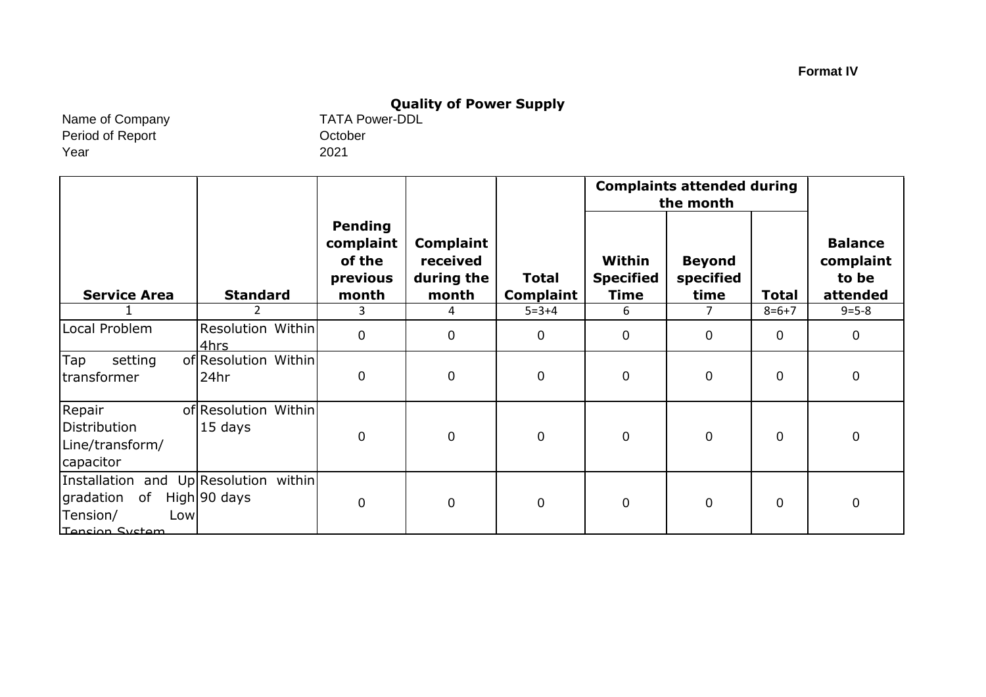# **Quality of Power Supply**<br>TATA Power-DDL

Name of Company Period of Report Year

October 2021

|                                                                                                       |                                  |                                                            |                                                     |                                  |                                    | <b>Complaints attended during</b><br>the month |              |                                                  |
|-------------------------------------------------------------------------------------------------------|----------------------------------|------------------------------------------------------------|-----------------------------------------------------|----------------------------------|------------------------------------|------------------------------------------------|--------------|--------------------------------------------------|
| <b>Service Area</b>                                                                                   | <b>Standard</b>                  | <b>Pending</b><br>complaint<br>of the<br>previous<br>month | <b>Complaint</b><br>received<br>during the<br>month | <b>Total</b><br><b>Complaint</b> | Within<br><b>Specified</b><br>Time | <b>Beyond</b><br>specified<br>time             | <b>Total</b> | <b>Balance</b><br>complaint<br>to be<br>attended |
|                                                                                                       | 2                                | 3                                                          | 4                                                   | $5 = 3 + 4$                      | 6                                  | 7                                              | $8 = 6 + 7$  | $9 = 5 - 8$                                      |
| Local Problem                                                                                         | <b>Resolution Within</b><br>4hrs | $\pmb{0}$                                                  | $\mathbf 0$                                         | $\mathbf 0$                      | $\overline{0}$                     | 0                                              | $\mathbf 0$  | $\mathbf 0$                                      |
| Tap<br>setting<br>transformer                                                                         | of Resolution Within<br>24hr     | 0                                                          | $\pmb{0}$                                           | $\mathbf 0$                      | $\overline{0}$                     | $\mathbf 0$                                    | 0            | $\mathbf 0$                                      |
| Repair<br>Distribution<br>Line/transform/<br>capacitor                                                | of Resolution Within<br>15 days  | 0                                                          | $\pmb{0}$                                           | $\mathbf 0$                      | $\overline{0}$                     | $\overline{0}$                                 | $\mathbf 0$  | $\mathbf 0$                                      |
| Installation and Up Resolution within<br>gradation<br>of<br>Tension/<br>Lowl<br><b>Tension System</b> | High 90 days                     | 0                                                          | $\mathbf 0$                                         | $\mathbf 0$                      | $\mathbf 0$                        | $\overline{0}$                                 | 0            | $\mathbf 0$                                      |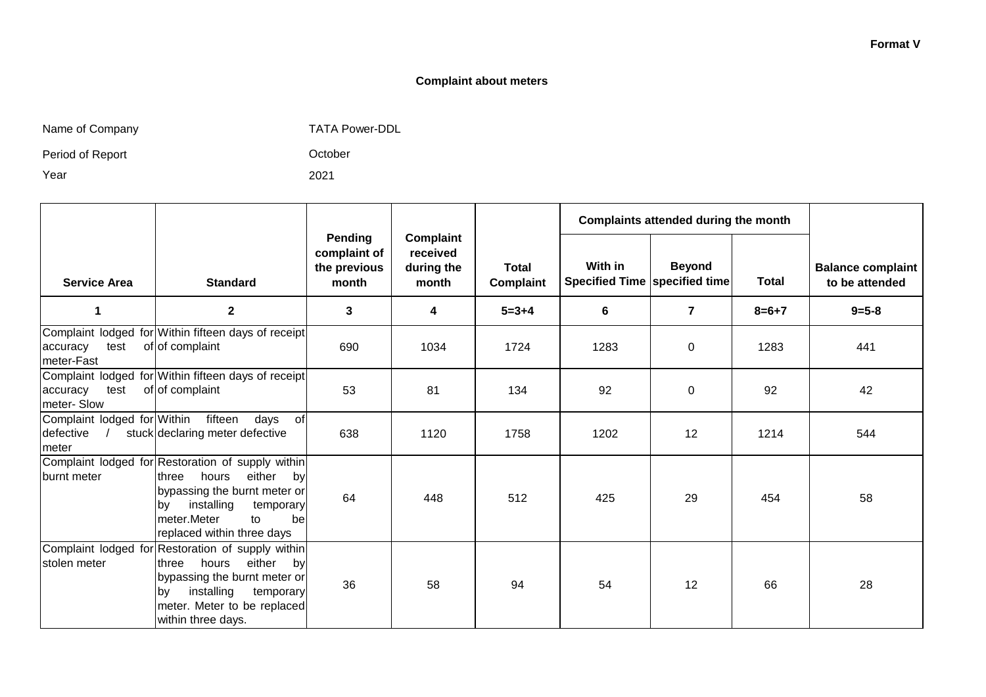#### **Format V**

#### **Complaint about meters**

| Name of Company |  |  |
|-----------------|--|--|
|-----------------|--|--|

any any the Company TATA Power-DDL

October

2021

Period of Report

Year

|                                                   |                                                                                                                                                                                                                |                                                  |                                                     |                                  |                                          | Complaints attended during the month |              |                                            |  |
|---------------------------------------------------|----------------------------------------------------------------------------------------------------------------------------------------------------------------------------------------------------------------|--------------------------------------------------|-----------------------------------------------------|----------------------------------|------------------------------------------|--------------------------------------|--------------|--------------------------------------------|--|
| <b>Service Area</b>                               | <b>Standard</b>                                                                                                                                                                                                | Pending<br>complaint of<br>the previous<br>month | <b>Complaint</b><br>received<br>during the<br>month | <b>Total</b><br><b>Complaint</b> | With in<br>Specified Time specified time | <b>Beyond</b>                        | <b>Total</b> | <b>Balance complaint</b><br>to be attended |  |
|                                                   | $\mathbf{2}$                                                                                                                                                                                                   | 3                                                | 4                                                   | $5 = 3 + 4$                      | 6                                        | $\overline{7}$                       | $8 = 6 + 7$  | $9 = 5 - 8$                                |  |
| test<br>accuracy<br>meter-Fast                    | Complaint lodged for Within fifteen days of receipt<br>of of complaint                                                                                                                                         | 690                                              | 1034                                                | 1724                             | 1283                                     | 0                                    | 1283         | 441                                        |  |
| accuracy<br>test<br>meter-Slow                    | Complaint lodged for Within fifteen days of receipt<br>of of complaint                                                                                                                                         | 53                                               | 81                                                  | 134                              | 92                                       | 0                                    | 92           | 42                                         |  |
| Complaint lodged for Within<br>defective<br>meter | fifteen<br>days<br><b>of</b><br>stuck declaring meter defective                                                                                                                                                | 638                                              | 1120                                                | 1758                             | 1202                                     | 12                                   | 1214         | 544                                        |  |
| burnt meter                                       | Complaint lodged for Restoration of supply within<br>either<br>hours<br>three<br>by<br>bypassing the burnt meter or<br>installing<br>temporary<br>by<br>meter.Meter<br>to<br>bel<br>replaced within three days | 64                                               | 448                                                 | 512                              | 425                                      | 29                                   | 454          | 58                                         |  |
| stolen meter                                      | Complaint lodged for Restoration of supply within<br>hours<br>either<br>three<br>by<br>bypassing the burnt meter or<br>installing<br>temporary<br>bv<br>meter. Meter to be replaced<br>within three days.      | 36                                               | 58                                                  | 94                               | 54                                       | 12                                   | 66           | 28                                         |  |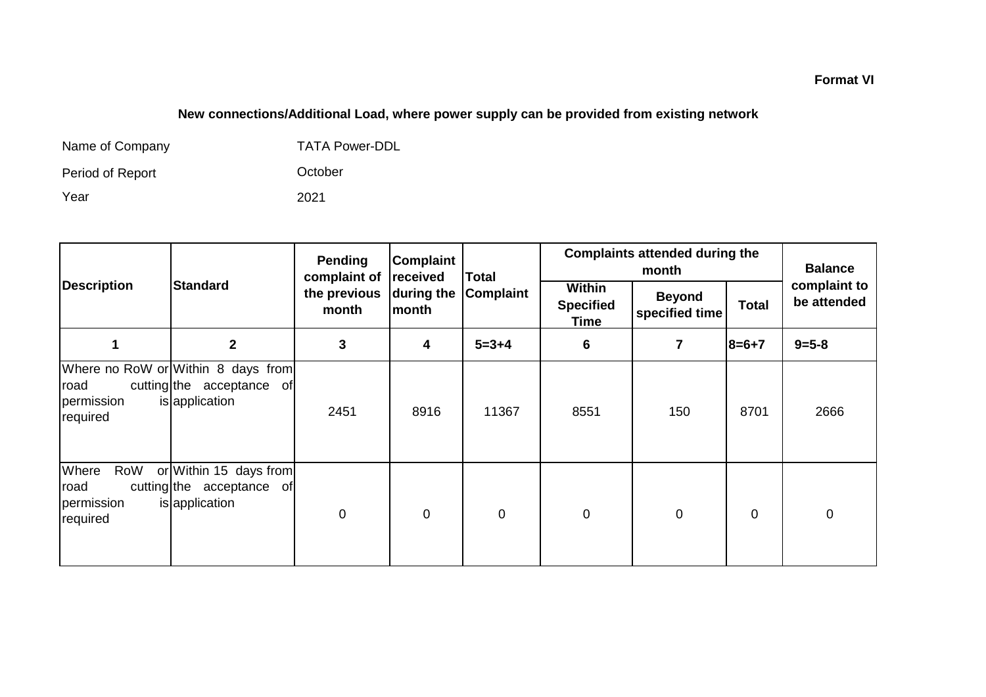# **New connections/Additional Load, where power supply can be provided from existing network**

| Name of Company  | <b>TATA Power-DDL</b> |
|------------------|-----------------------|
| Period of Report | October               |
| Year             | 2021                  |

|                                                |                                                                                   | Pending<br>complaint of | Complaint           | received<br><b>Total</b><br>Complaint |             | <b>Complaints attended during the</b><br>month |              |                             |  |
|------------------------------------------------|-----------------------------------------------------------------------------------|-------------------------|---------------------|---------------------------------------|-------------|------------------------------------------------|--------------|-----------------------------|--|
| <b>Description</b>                             | <b>Standard</b>                                                                   | the previous<br>month   | during the<br>month |                                       |             | <b>Beyond</b><br>specified time                | <b>Total</b> | complaint to<br>be attended |  |
|                                                | $\overline{2}$                                                                    | 3                       | 4                   | $5 = 3 + 4$                           | 6           | $\overline{7}$                                 | $8=6+7$      | $9 = 5 - 8$                 |  |
| road<br>permission<br>required                 | Where no RoW or Within 8 days from<br>cutting the acceptance of<br>is application | 2451                    | 8916                | 11367                                 | 8551        | 150                                            | 8701         | 2666                        |  |
| Where<br>RoW<br>road<br>permission<br>required | or Within 15 days from<br>cutting the acceptance of<br>is application             | 0                       | $\mathbf 0$         | $\mathbf 0$                           | $\mathbf 0$ | $\mathbf 0$                                    | $\mathbf 0$  | $\mathbf 0$                 |  |

**Format VI**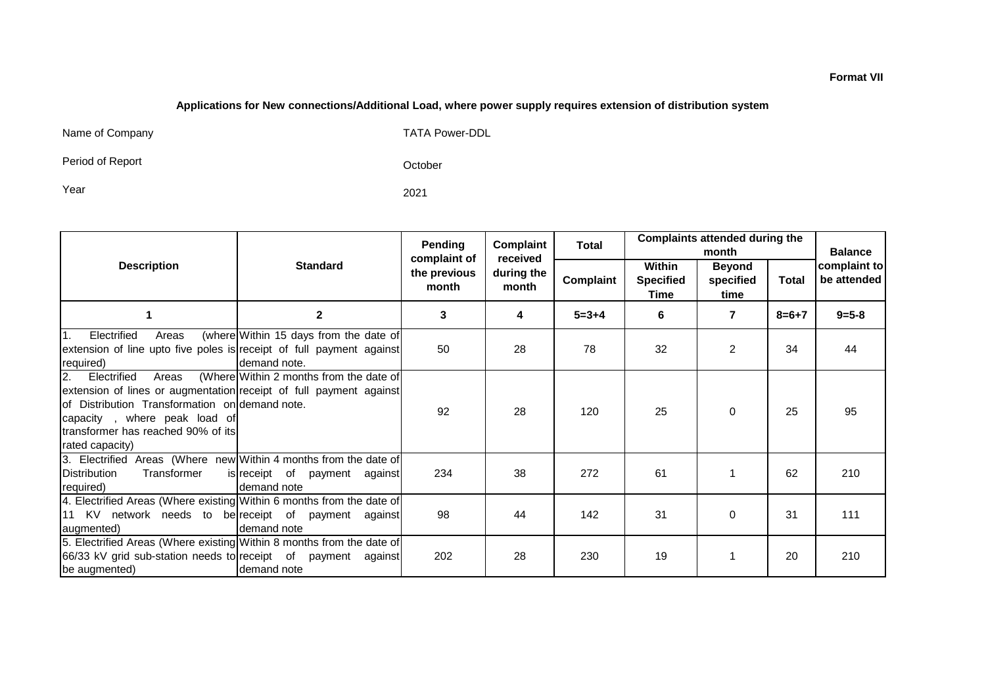#### **Applications for New connections/Additional Load, where power supply requires extension of distribution system**

Name of Company TATA Power-DDL

Period of Report

October

Year 2021

|                                                                                                                                                                                                                                              |                                                        | Complaint<br>Pending                  |                                 | Total       |                                           | <b>Complaints attended during the</b><br>month |              |                                               |
|----------------------------------------------------------------------------------------------------------------------------------------------------------------------------------------------------------------------------------------------|--------------------------------------------------------|---------------------------------------|---------------------------------|-------------|-------------------------------------------|------------------------------------------------|--------------|-----------------------------------------------|
| <b>Description</b>                                                                                                                                                                                                                           | <b>Standard</b>                                        | complaint of<br>the previous<br>month | received<br>during the<br>month | Complaint   | Within<br><b>Specified</b><br><b>Time</b> | <b>Beyond</b><br>specified<br>time             | <b>Total</b> | <b>Balance</b><br>complaint to<br>be attended |
|                                                                                                                                                                                                                                              | $\mathbf{2}$                                           | 3                                     | 4                               | $5 = 3 + 4$ | 6                                         | $\overline{7}$                                 | $8=6+7$      | $9 = 5 - 8$                                   |
| Electrified<br>$\mathbf{1}$ .<br>Areas<br>extension of line upto five poles is receipt of full payment against<br>required)                                                                                                                  | (where Within 15 days from the date of<br>demand note. | 50                                    | 28                              | 78          | 32                                        | $\overline{2}$                                 | 34           | 44                                            |
| Electrified<br>2.<br>Areas<br>extension of lines or augmentation receipt of full payment against<br>lof Distribution Transformation on demand note.<br>capacity, where peak load of<br>transformer has reached 90% of its<br>rated capacity) | (Where Within 2 months from the date of                | 92                                    | 28                              | 120         | 25                                        | $\Omega$                                       | 25           | 95                                            |
| 3. Electrified Areas (Where new Within 4 months from the date of<br>Distribution<br>Transformer<br>required)                                                                                                                                 | is receipt of payment against<br>demand note           | 234                                   | 38                              | 272         | 61                                        |                                                | 62           | 210                                           |
| 4. Electrified Areas (Where existing Within 6 months from the date of<br>11 KV network needs to be receipt of payment against<br>augmented)                                                                                                  | demand note                                            | 98                                    | 44                              | 142         | 31                                        | $\Omega$                                       | 31           | 111                                           |
| 5. Electrified Areas (Where existing Within 8 months from the date of<br>66/33 kV grid sub-station needs to receipt of payment against<br>be augmented)                                                                                      | demand note                                            | 202                                   | 28                              | 230         | 19                                        |                                                | 20           | 210                                           |

#### **Format VII**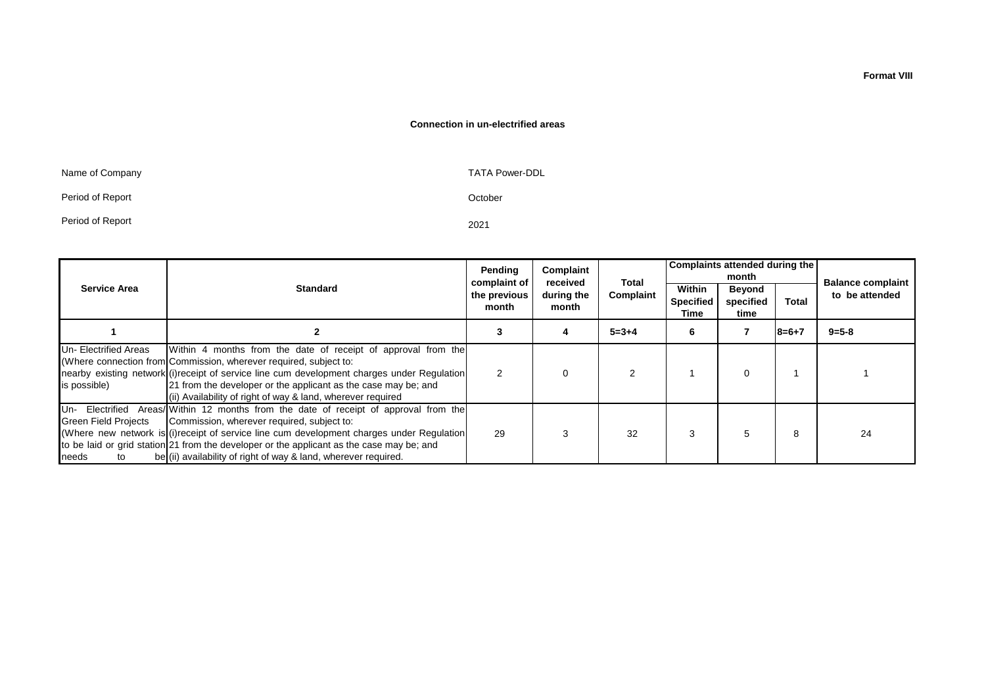#### **Connection in un-electrified areas**

| Name of Company  | TATA Power-DDL |
|------------------|----------------|
| Period of Report | October        |
| Period of Report | 2021           |

established)

|                                      |                                                                                                                                                                                                                                                                                                                                                                                                   | Pending<br>complaint of                                   | Complaint<br>received | Total                              | Complaints attended during the<br>month |          |                | <b>Balance complaint</b> |
|--------------------------------------|---------------------------------------------------------------------------------------------------------------------------------------------------------------------------------------------------------------------------------------------------------------------------------------------------------------------------------------------------------------------------------------------------|-----------------------------------------------------------|-----------------------|------------------------------------|-----------------------------------------|----------|----------------|--------------------------|
| <b>Service Area</b>                  | <b>Standard</b>                                                                                                                                                                                                                                                                                                                                                                                   | during the<br>Complaint<br>the previous<br>month<br>month |                       | Within<br><b>Specified</b><br>Time | <b>Beyond</b><br>specified<br>time      | Total    | to be attended |                          |
|                                      |                                                                                                                                                                                                                                                                                                                                                                                                   |                                                           |                       | $5 = 3 + 4$                        | 6                                       |          | $8=6+7$        | $9 = 5 - 8$              |
| Un-Electrified Areas<br>is possible) | Within 4 months from the date of receipt of approval from the<br>(Where connection from Commission, wherever required, subject to:<br>nearby existing network (i) receipt of service line cum development charges under Regulation<br>21 from the developer or the applicant as the case may be; and<br>(ii) Availability of right of way & land, wherever required                               | $\mathfrak{p}$                                            | 0                     |                                    |                                         | $\Omega$ |                |                          |
| Green Field Projects<br>needs<br>to  | Un- Electrified Areas/ Within 12 months from the date of receipt of approval from the<br>Commission, wherever required, subject to:<br>(Where new network is (i) receipt of service line cum development charges under Requiation<br>to be laid or grid station 21 from the developer or the applicant as the case may be; and<br>be (ii) availability of right of way & land, wherever required. | 29                                                        |                       | 32                                 | 3                                       | 5        | 8              | 24                       |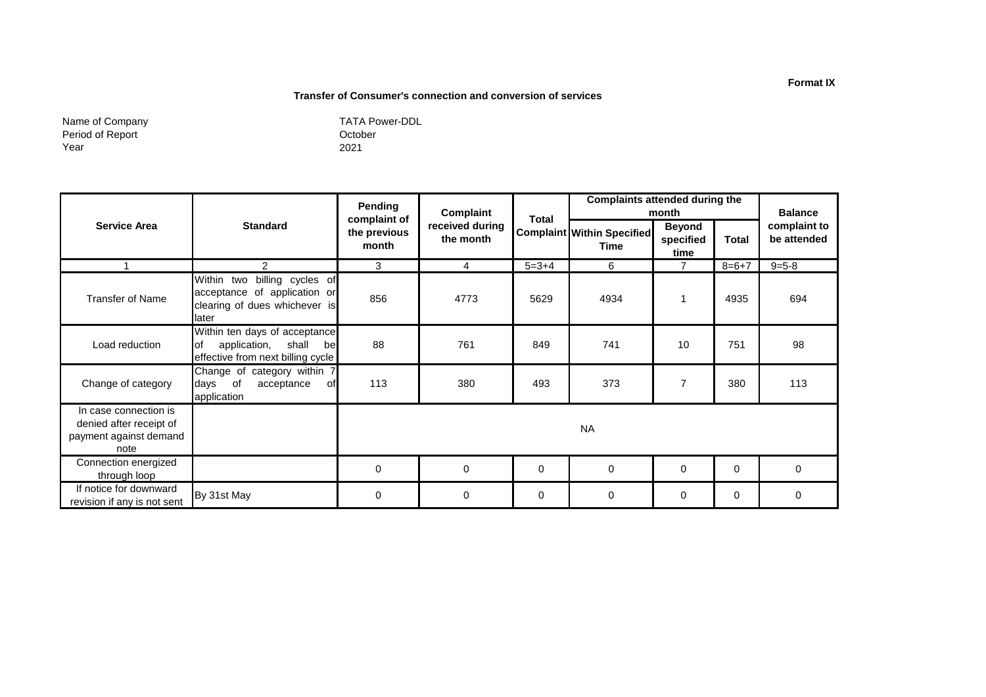#### **Transfer of Consumer's connection and conversion of services**

Name of Company Period of Report Year

|                                                                                    |                                                                                                           | <b>Pending</b>                        | Complaint                    |              | <b>Complaints attended during the</b><br>month |                                    |             | <b>Balance</b>              |
|------------------------------------------------------------------------------------|-----------------------------------------------------------------------------------------------------------|---------------------------------------|------------------------------|--------------|------------------------------------------------|------------------------------------|-------------|-----------------------------|
| <b>Service Area</b>                                                                | <b>Standard</b>                                                                                           | complaint of<br>the previous<br>month | received during<br>the month | <b>Total</b> | <b>Complaint Within Specified</b><br>Time      | <b>Beyond</b><br>specified<br>time | Total       | complaint to<br>be attended |
|                                                                                    | $\mathcal{P}$                                                                                             | 3                                     | 4                            | $5 = 3 + 4$  | 6                                              | $\overline{7}$                     | $8 = 6 + 7$ | $9 = 5 - 8$                 |
| <b>Transfer of Name</b>                                                            | Within two<br>billing cycles of<br>acceptance of application or<br>clearing of dues whichever is<br>later | 856                                   | 4773                         | 5629         | 4934                                           |                                    | 4935        | 694                         |
| Load reduction                                                                     | Within ten days of acceptance<br>lof<br>application,<br>shall<br>bel<br>effective from next billing cycle | 88                                    | 761                          | 849          | 741                                            | 10                                 | 751         | 98                          |
| Change of category                                                                 | Change of category within 7<br>days of<br>acceptance<br>of<br>application                                 | 113                                   | 380                          | 493          | 373                                            | 7                                  | 380         | 113                         |
| In case connection is<br>denied after receipt of<br>payment against demand<br>note |                                                                                                           |                                       |                              |              | <b>NA</b>                                      |                                    |             |                             |
| Connection energized<br>through loop                                               |                                                                                                           | 0                                     | 0                            | $\mathbf 0$  | $\mathbf 0$                                    | $\Omega$                           | 0           | $\Omega$                    |
| If notice for downward<br>revision if any is not sent                              | By 31st May                                                                                               | 0                                     | 0                            | 0            | $\mathbf 0$                                    | 0                                  | 0           | 0                           |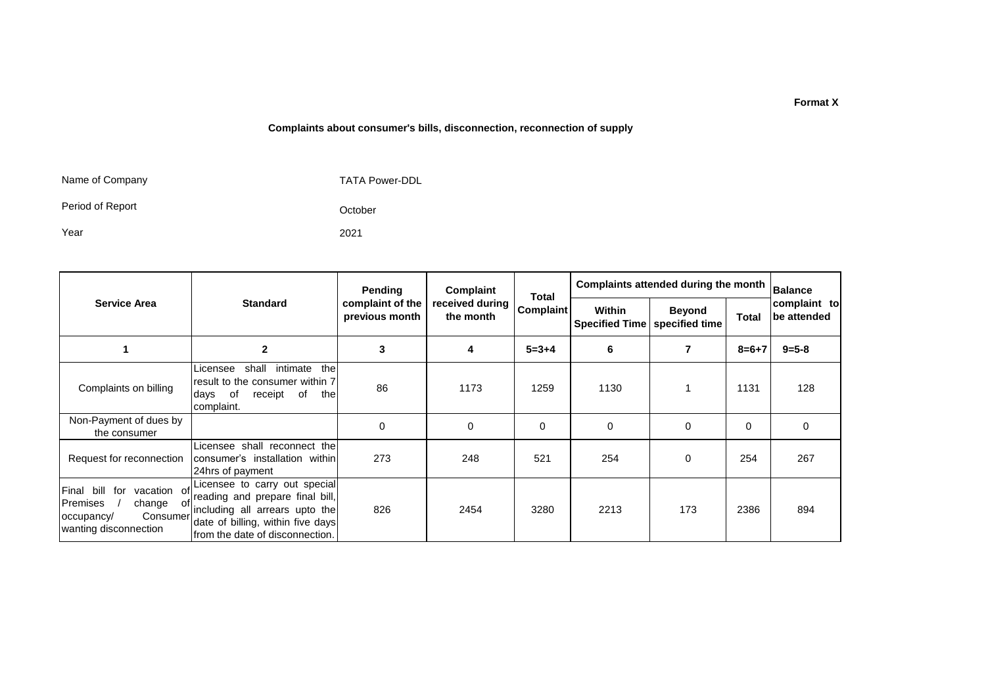#### **Complaints about consumer's bills, disconnection, reconnection of supply**

Name of Company

TATA Power-DDL

Period of Report

Year

2021

October

|                                                                                                                          |                                                                                                                                                                            | Pending  | Complaint                       | Total                           |              | Complaints attended during the month<br>Balance |             |             |  |
|--------------------------------------------------------------------------------------------------------------------------|----------------------------------------------------------------------------------------------------------------------------------------------------------------------------|----------|---------------------------------|---------------------------------|--------------|-------------------------------------------------|-------------|-------------|--|
| <b>Service Area</b>                                                                                                      | received during<br><b>Standard</b><br>complaint of the<br><b>Complaint</b><br>previous month<br>the month                                                                  |          | Within<br><b>Specified Time</b> | <b>Beyond</b><br>specified time | <b>Total</b> | complaint to<br>be attended                     |             |             |  |
|                                                                                                                          | $\overline{2}$                                                                                                                                                             | 3        | 4                               | $5 = 3 + 4$                     | 6            | 7                                               | $8 = 6 + 7$ | $9 = 5 - 8$ |  |
| Complaints on billing                                                                                                    | thel<br>intimate<br>shall<br>Licensee<br>result to the consumer within 7<br>of<br>of<br>receipt<br>the<br>days<br>complaint.                                               | 86       | 1173                            | 1259                            | 1130         |                                                 | 1131        | 128         |  |
| Non-Payment of dues by<br>the consumer                                                                                   |                                                                                                                                                                            | $\Omega$ | $\Omega$                        | 0                               | 0            | 0                                               | $\Omega$    | 0           |  |
| Request for reconnection                                                                                                 | Licensee shall reconnect thel<br>consumer's installation within<br>24hrs of payment                                                                                        | 273      | 248                             | 521                             | 254          | 0                                               | 254         | 267         |  |
| Final bill<br>for<br>vacation of<br><b>Premises</b><br>change<br>- of<br>Consumer<br>occupancy/<br>wanting disconnection | Licensee to carry out special<br>reading and prepare final bill,<br>including all arrears upto the<br>date of billing, within five days<br>from the date of disconnection. | 826      | 2454                            | 3280                            | 2213         | 173                                             | 2386        | 894         |  |

#### **Format X**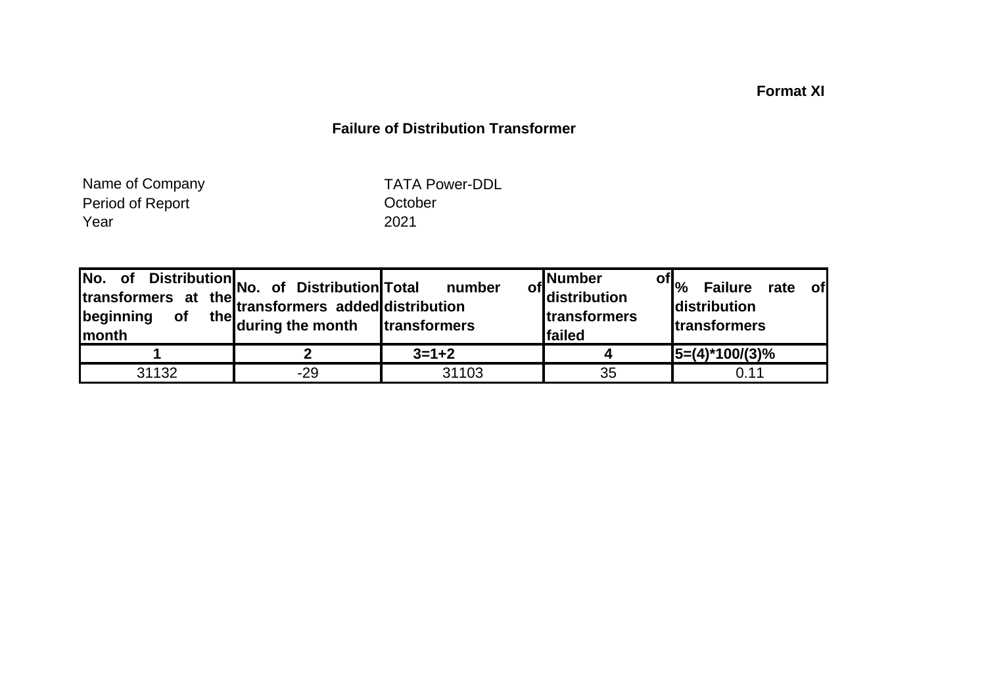# **Format XI**

# **Failure of Distribution Transformer**

Period of Report Year 2021 Name of Company

TATA Power-DDL

| No.<br>of<br>transformers at<br>beginning<br><b>of</b><br>Imonth | Distribution<br>vers at the transformers added distribution<br>of the transformers added distribution<br>the during the month | number<br>transformers | , Number<br><sup>of</sup> distribution<br><b>Itransformers</b><br>failed | of $\mathsf{p}_{\mathsf{p}}$<br><b>Failure</b><br><b>of</b><br>rate<br><b>distribution</b><br><b>transformers</b> |
|------------------------------------------------------------------|-------------------------------------------------------------------------------------------------------------------------------|------------------------|--------------------------------------------------------------------------|-------------------------------------------------------------------------------------------------------------------|
|                                                                  |                                                                                                                               | $3 = 1 + 2$            |                                                                          | $15=(4)*100/(3)%$                                                                                                 |
| 31132                                                            | $-29$                                                                                                                         | 31103                  | 35                                                                       | 0.11                                                                                                              |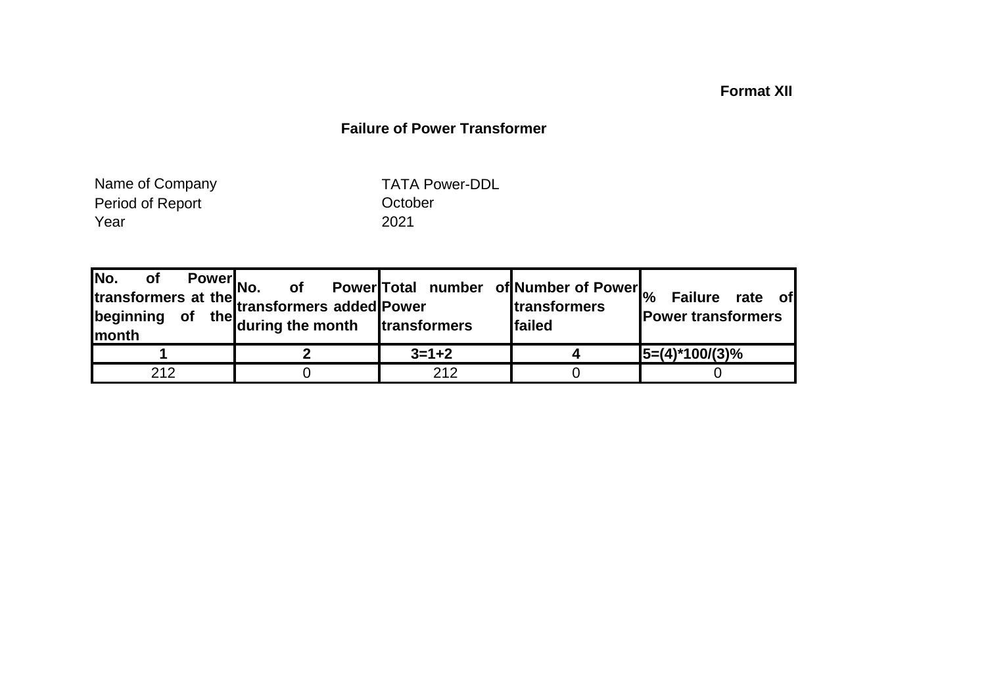# **Format XII**

# **Failure of Power Transformer**

Period of Report Year 2021 Name of Company

TATA Power-DDL

|     | Power<br>No. of Power<br>of the during the month transformers and transformers and transformers | of Power Total number of Number of Power | <b>transformers</b><br><b>Ifailed</b> | <b>Failure</b><br>rate of<br><b>Power transformers</b> |
|-----|-------------------------------------------------------------------------------------------------|------------------------------------------|---------------------------------------|--------------------------------------------------------|
|     |                                                                                                 | $3=1+2$                                  |                                       | $ 5=(4)^*100/(3)\%$                                    |
| 212 |                                                                                                 | 212                                      |                                       |                                                        |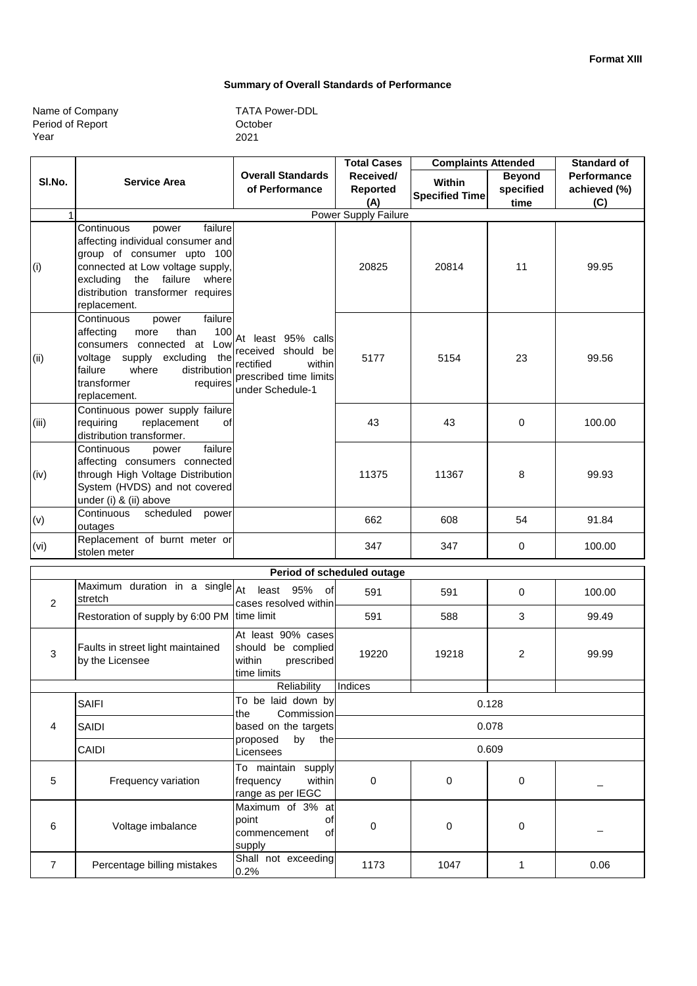#### **Summary of Overall Standards of Performance**

| Name of Company  |  |
|------------------|--|
| Period of Report |  |
| Year             |  |

|                |                                                                                                                                                                                                                                 | <b>Total Cases</b><br><b>Complaints Attended</b>                                                              |                                     | <b>Standard of</b>              |                                    |                                           |
|----------------|---------------------------------------------------------------------------------------------------------------------------------------------------------------------------------------------------------------------------------|---------------------------------------------------------------------------------------------------------------|-------------------------------------|---------------------------------|------------------------------------|-------------------------------------------|
| SI.No.         | <b>Service Area</b>                                                                                                                                                                                                             | <b>Overall Standards</b><br>of Performance                                                                    | Received/<br><b>Reported</b><br>(A) | Within<br><b>Specified Time</b> | <b>Beyond</b><br>specified<br>time | <b>Performance</b><br>achieved (%)<br>(C) |
| 1              |                                                                                                                                                                                                                                 |                                                                                                               | Power Supply Failure                |                                 |                                    |                                           |
| (i)            | failure<br>Continuous<br>power<br>affecting individual consumer and<br>group of consumer upto 100<br>connected at Low voltage supply,<br>the failure<br>excluding<br>where<br>distribution transformer requires<br>replacement. |                                                                                                               | 20825                               | 20814                           | 11                                 | 99.95                                     |
| (ii)           | Continuous<br>failure<br>power<br>affecting<br>100<br>than<br>more<br>consumers connected at Low<br>voltage supply excluding<br>the<br>failure<br>where<br>distribution<br>transformer<br>requires<br>replacement.              | At least 95% calls<br>received should be<br>rectified<br>within<br>prescribed time limits<br>under Schedule-1 | 5177                                | 5154                            | 23                                 | 99.56                                     |
| (iii)          | Continuous power supply failure<br>replacement<br>requiring<br>οf<br>distribution transformer.                                                                                                                                  |                                                                                                               | 43                                  | 43                              | 0                                  | 100.00                                    |
| (iv)           | failure<br>Continuous<br>power<br>affecting consumers connected<br>through High Voltage Distribution<br>System (HVDS) and not covered<br>under (i) & (ii) above                                                                 |                                                                                                               | 11375                               | 11367                           | 8                                  | 99.93                                     |
| (v)            | Continuous<br>scheduled<br>power<br>outages                                                                                                                                                                                     |                                                                                                               | 662                                 | 608                             | 54                                 | 91.84                                     |
| (vi)           | Replacement of burnt meter or<br>stolen meter                                                                                                                                                                                   |                                                                                                               | 347                                 | 347                             | 0                                  | 100.00                                    |
|                |                                                                                                                                                                                                                                 |                                                                                                               | Period of scheduled outage          |                                 |                                    |                                           |
| $\overline{2}$ | Maximum duration in a single $A$ t<br>stretch                                                                                                                                                                                   | least 95%<br>0f<br>cases resolved within                                                                      | 591                                 | 591                             | 0                                  | 100.00                                    |
|                | Restoration of supply by 6:00 PM time limit                                                                                                                                                                                     |                                                                                                               | 591                                 | 588                             | 3                                  | 99.49                                     |
| 3              | Faults in street light maintained<br>by the Licensee                                                                                                                                                                            | At least 90% cases<br>should be complied<br>within<br>prescribed<br>time limits                               | 19220                               | 19218                           | 2                                  | 99.99                                     |
|                |                                                                                                                                                                                                                                 | Reliability                                                                                                   | Indices                             |                                 |                                    |                                           |
|                | <b>SAIFI</b>                                                                                                                                                                                                                    | To be laid down by<br>Commission<br>the                                                                       | 0.128                               |                                 |                                    |                                           |
| 4              | SAIDI                                                                                                                                                                                                                           | based on the targets<br>proposed<br>by<br>the                                                                 | 0.078                               |                                 |                                    |                                           |
|                | CAIDI                                                                                                                                                                                                                           | Licensees                                                                                                     | 0.609                               |                                 |                                    |                                           |
| 5              | Frequency variation                                                                                                                                                                                                             | To maintain supply<br>frequency<br>within<br>range as per IEGC                                                | 0                                   | 0                               | 0                                  |                                           |
| 6              | Voltage imbalance                                                                                                                                                                                                               | Maximum of 3% at<br>point<br>οf<br>commencement<br>οf<br>supply                                               | 0                                   | 0                               | 0                                  |                                           |
| $\overline{7}$ | Percentage billing mistakes                                                                                                                                                                                                     | Shall not exceeding<br>0.2%                                                                                   | 1173                                | 1047                            | 1                                  | 0.06                                      |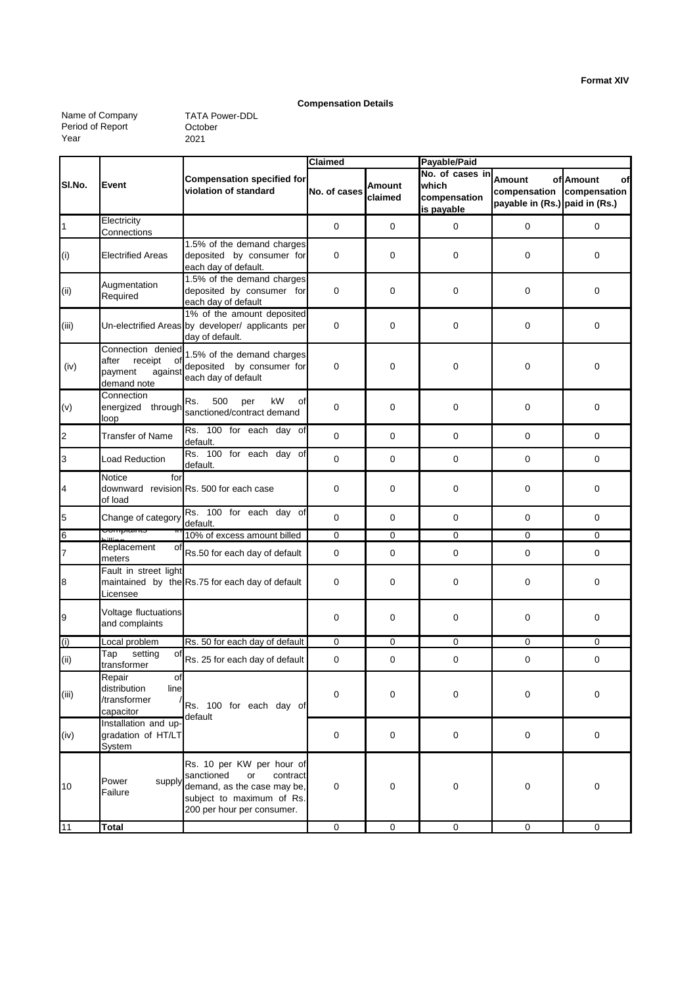#### **Compensation Details**

Name of Company Period of Report Year

|                |                                                                                  |                                                                                                                                                     | Claimed      |                   | Payable/Paid                                           |                                                          |                                 |  |
|----------------|----------------------------------------------------------------------------------|-----------------------------------------------------------------------------------------------------------------------------------------------------|--------------|-------------------|--------------------------------------------------------|----------------------------------------------------------|---------------------------------|--|
| SI.No.         | Event                                                                            | <b>Compensation specified for</b><br>violation of standard                                                                                          | No. of cases | Amount<br>claimed | No. of cases in<br>which<br>compensation<br>is payable | Amount<br>compensation<br>payable in (Rs.) paid in (Rs.) | of Amount<br>οf<br>compensation |  |
| $\overline{1}$ | Electricity<br>Connections                                                       |                                                                                                                                                     | $\mathbf 0$  | $\mathbf 0$       | $\mathbf 0$                                            | 0                                                        | 0                               |  |
| (i)            | <b>Electrified Areas</b>                                                         | 1.5% of the demand charges<br>deposited by consumer for<br>each day of default.                                                                     | 0            | 0                 | $\mathbf 0$                                            | 0                                                        | $\mathbf 0$                     |  |
| (i)            | Augmentation<br>Required                                                         | 1.5% of the demand charges<br>deposited by consumer for<br>each day of default                                                                      | 0            | 0                 | $\mathbf 0$                                            | 0                                                        | $\mathbf 0$                     |  |
| (iii)          |                                                                                  | 1% of the amount deposited<br>Un-electrified Areas by developer/ applicants per<br>day of default.                                                  | 0            | $\mathbf 0$       | $\mathbf 0$                                            | 0                                                        | $\mathbf 0$                     |  |
| (iv)           | Connection denied<br>after<br>receipt<br>οf<br>payment<br>against<br>demand note | 1.5% of the demand charges<br>deposited by consumer for<br>each day of default                                                                      | 0            | 0                 | $\mathbf 0$                                            | 0                                                        | 0                               |  |
| (v)            | Connection<br>energized through<br>loop                                          | Rs.<br>500<br>kW<br>per<br>οf<br>sanctioned/contract demand                                                                                         | 0            | 0                 | $\mathbf 0$                                            | 0                                                        | 0                               |  |
| $\overline{a}$ | <b>Transfer of Name</b>                                                          | Rs. 100 for each day of<br>default.                                                                                                                 | 0            | 0                 | $\mathbf 0$                                            | 0                                                        | 0                               |  |
| 3              | Load Reduction                                                                   | Rs. 100 for each day of<br>default.                                                                                                                 | 0            | $\mathbf 0$       | $\mathbf 0$                                            | 0                                                        | $\mathbf 0$                     |  |
| 4              | Notice<br>for<br>of load                                                         | downward revision Rs. 500 for each case                                                                                                             | 0            | $\pmb{0}$         | $\mathbf 0$                                            | 0                                                        | 0                               |  |
| $\overline{5}$ | Change of category                                                               | Rs. 100 for each day of<br>default.                                                                                                                 | $\mathbf 0$  | $\mathbf 0$       | $\mathbf 0$                                            | 0                                                        | 0                               |  |
| $6\phantom{a}$ | Compiaints                                                                       | 10% of excess amount billed                                                                                                                         | 0            | $\mathbf 0$       | $\mathbf 0$                                            | 0                                                        | 0                               |  |
| $\overline{7}$ | Replacement<br>οf<br>meters                                                      | Rs.50 for each day of default                                                                                                                       | 0            | $\mathbf 0$       | $\mathbf 0$                                            | 0                                                        | 0                               |  |
| $\bf{8}$       | Fault in street light<br>Licensee                                                | maintained by the Rs.75 for each day of default                                                                                                     | 0            | 0                 | $\mathbf 0$                                            | 0                                                        | 0                               |  |
| 9              | Voltage fluctuations<br>and complaints                                           |                                                                                                                                                     | 0            | $\mathbf 0$       | $\mathbf 0$                                            | 0                                                        | 0                               |  |
| (i)            | Local problem                                                                    | Rs. 50 for each day of default                                                                                                                      | 0            | 0                 | $\mathbf 0$                                            | 0                                                        | 0                               |  |
| (i)            | setting<br>Tap<br>οf<br>transformer                                              | Rs. 25 for each day of default                                                                                                                      | 0            | 0                 | 0                                                      | 0                                                        | 0                               |  |
| (iii)          | Repair<br>of <sup>1</sup><br>distribution<br>line<br>/transformer<br>capacitor   | Rs. 100 for each day of<br>default                                                                                                                  | 0            | 0                 | 0                                                      | 0                                                        | 0                               |  |
| (iv)           | Installation and up-<br>gradation of HT/LT<br>System                             |                                                                                                                                                     | 0            | 0                 | $\mathbf 0$                                            | $\pmb{0}$                                                | $\mathsf{O}\xspace$             |  |
| 10             | Power<br>supply<br>Failure                                                       | Rs. 10 per KW per hour of<br>sanctioned<br>or<br>contract<br>demand, as the case may be,<br>subject to maximum of Rs.<br>200 per hour per consumer. | 0            | 0                 | $\mathbf 0$                                            | 0                                                        | 0                               |  |
| 11             | <b>Total</b>                                                                     |                                                                                                                                                     | $\pmb{0}$    | $\mathbf 0$       | $\mathbf 0$                                            | $\mathbf 0$                                              | $\mathbf 0$                     |  |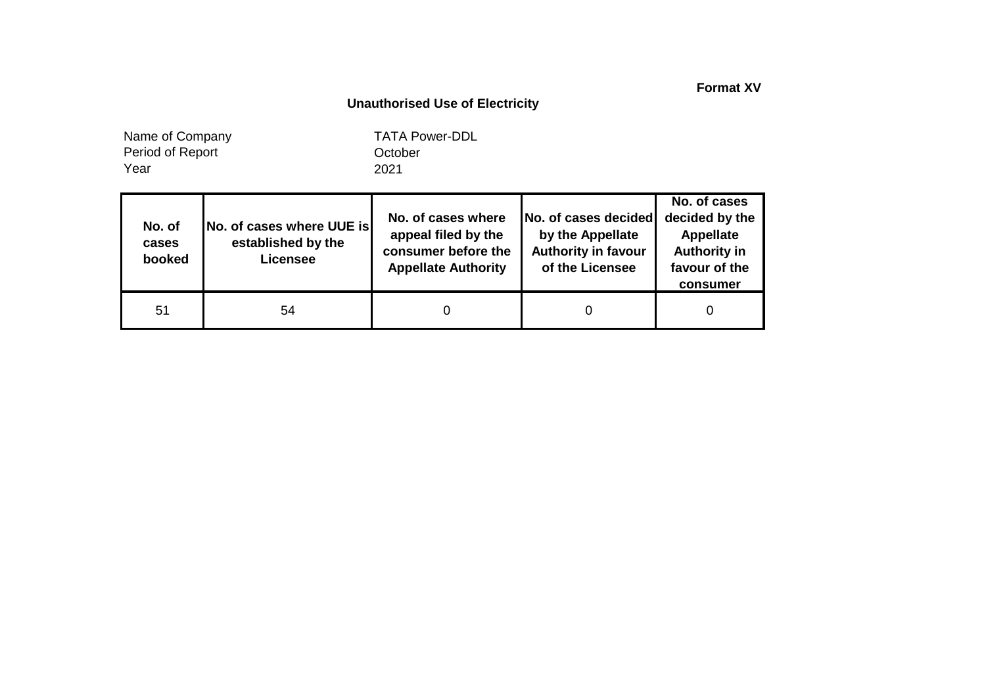**Format XV**

### **Unauthorised Use of Electricity**

Year Name of Company Period of Report

| No. of<br>cases<br>booked | No. of cases where UUE is<br>established by the<br><b>Licensee</b> | No. of cases where<br>appeal filed by the<br>consumer before the<br><b>Appellate Authority</b> | No. of cases decided<br>by the Appellate<br><b>Authority in favour</b><br>of the Licensee | No. of cases<br>decided by the<br>Appellate<br><b>Authority in</b><br>favour of the<br>consumer |
|---------------------------|--------------------------------------------------------------------|------------------------------------------------------------------------------------------------|-------------------------------------------------------------------------------------------|-------------------------------------------------------------------------------------------------|
| 51                        | 54                                                                 |                                                                                                |                                                                                           |                                                                                                 |